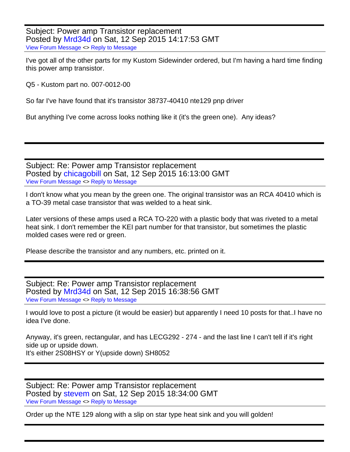Subject: Power amp Transistor replacement Posted by [Mrd34d](http://www.vintagekustom.com/FUDforum/index.php?t=usrinfo&id=17448) on Sat, 12 Sep 2015 14:17:53 GMT [View Forum Message](http://www.vintagekustom.com/FUDforum/index.php?t=rview&th=4138&goto=23823#msg_23823) <> [Reply to Message](http://www.vintagekustom.com/FUDforum/index.php?t=post&reply_to=23823)

I've got all of the other parts for my Kustom Sidewinder ordered, but I'm having a hard time finding this power amp transistor.

Q5 - Kustom part no. 007-0012-00

So far I've have found that it's transistor 38737-40410 nte129 pnp driver

But anything I've come across looks nothing like it (it's the green one). Any ideas?

Subject: Re: Power amp Transistor replacement Posted by [chicagobill](http://www.vintagekustom.com/FUDforum/index.php?t=usrinfo&id=129) on Sat, 12 Sep 2015 16:13:00 GMT [View Forum Message](http://www.vintagekustom.com/FUDforum/index.php?t=rview&th=4138&goto=23826#msg_23826) <> [Reply to Message](http://www.vintagekustom.com/FUDforum/index.php?t=post&reply_to=23826)

I don't know what you mean by the green one. The original transistor was an RCA 40410 which is a TO-39 metal case transistor that was welded to a heat sink.

Later versions of these amps used a RCA TO-220 with a plastic body that was riveted to a metal heat sink. I don't remember the KEI part number for that transistor, but sometimes the plastic molded cases were red or green.

Please describe the transistor and any numbers, etc. printed on it.

Subject: Re: Power amp Transistor replacement Posted by [Mrd34d](http://www.vintagekustom.com/FUDforum/index.php?t=usrinfo&id=17448) on Sat, 12 Sep 2015 16:38:56 GMT [View Forum Message](http://www.vintagekustom.com/FUDforum/index.php?t=rview&th=4138&goto=23828#msg_23828) <> [Reply to Message](http://www.vintagekustom.com/FUDforum/index.php?t=post&reply_to=23828)

I would love to post a picture (it would be easier) but apparently I need 10 posts for that..I have no idea I've done.

Anyway, it's green, rectangular, and has LECG292 - 274 - and the last line I can't tell if it's right side up or upside down. It's either 2S08HSY or Y(upside down) SH8052

Subject: Re: Power amp Transistor replacement Posted by [stevem](http://www.vintagekustom.com/FUDforum/index.php?t=usrinfo&id=212) on Sat, 12 Sep 2015 18:34:00 GMT [View Forum Message](http://www.vintagekustom.com/FUDforum/index.php?t=rview&th=4138&goto=23829#msg_23829) <> [Reply to Message](http://www.vintagekustom.com/FUDforum/index.php?t=post&reply_to=23829)

Order up the NTE 129 along with a slip on star type heat sink and you will golden!